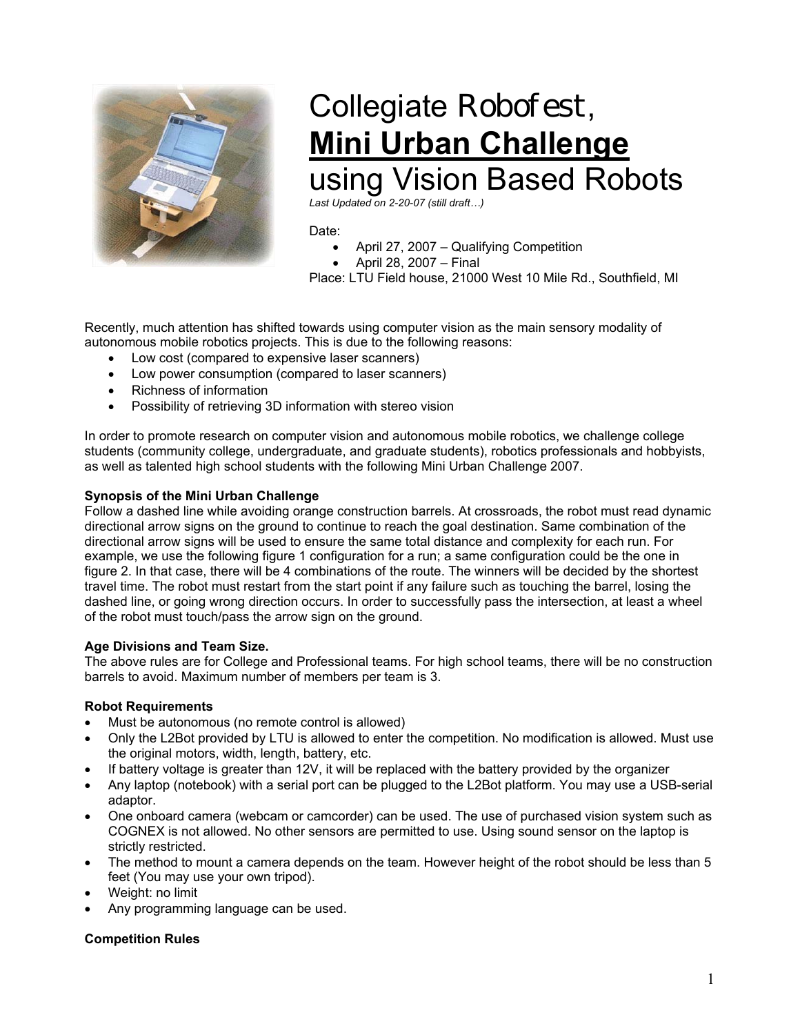

# Collegiate Robofest, **Mini Urban Challenge** using Vision Based Robots

*Last Updated on 2-20-07 (still draft…)* 

### Date:

- April 27, 2007 Qualifying Competition
- April 28, 2007 Final

Place: LTU Field house, 21000 West 10 Mile Rd., Southfield, MI

Recently, much attention has shifted towards using computer vision as the main sensory modality of autonomous mobile robotics projects. This is due to the following reasons:

- Low cost (compared to expensive laser scanners)
- Low power consumption (compared to laser scanners)
- Richness of information
- Possibility of retrieving 3D information with stereo vision

In order to promote research on computer vision and autonomous mobile robotics, we challenge college students (community college, undergraduate, and graduate students), robotics professionals and hobbyists, as well as talented high school students with the following Mini Urban Challenge 2007.

## **Synopsis of the Mini Urban Challenge**

Follow a dashed line while avoiding orange construction barrels. At crossroads, the robot must read dynamic directional arrow signs on the ground to continue to reach the goal destination. Same combination of the directional arrow signs will be used to ensure the same total distance and complexity for each run. For example, we use the following figure 1 configuration for a run; a same configuration could be the one in figure 2. In that case, there will be 4 combinations of the route. The winners will be decided by the shortest travel time. The robot must restart from the start point if any failure such as touching the barrel, losing the dashed line, or going wrong direction occurs. In order to successfully pass the intersection, at least a wheel of the robot must touch/pass the arrow sign on the ground.

# **Age Divisions and Team Size.**

The above rules are for College and Professional teams. For high school teams, there will be no construction barrels to avoid. Maximum number of members per team is 3.

#### **Robot Requirements**

- Must be autonomous (no remote control is allowed)
- Only the L2Bot provided by LTU is allowed to enter the competition. No modification is allowed. Must use the original motors, width, length, battery, etc.
- If battery voltage is greater than 12V, it will be replaced with the battery provided by the organizer
- Any laptop (notebook) with a serial port can be plugged to the L2Bot platform. You may use a USB-serial adaptor.
- One onboard camera (webcam or camcorder) can be used. The use of purchased vision system such as COGNEX is not allowed. No other sensors are permitted to use. Using sound sensor on the laptop is strictly restricted.
- The method to mount a camera depends on the team. However height of the robot should be less than 5 feet (You may use your own tripod).
- Weight: no limit
- Any programming language can be used.

# **Competition Rules**